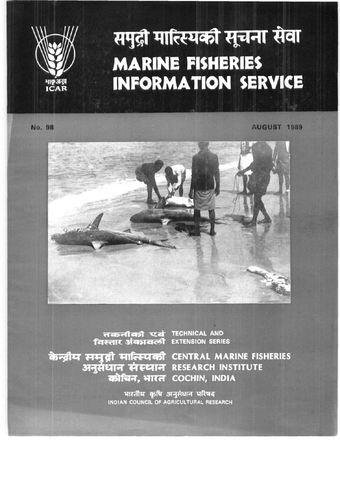

# समुद्री मात्स्यिकी सूचना सेवा **MARINE FISHERIES INFORMATION SERVICE**

**No. 98** 

AUGUST 1989



तकनीकी एवं TECHNICAL AND<br>**विस्तार अंकावली** EXTENSION SERIE

**EXTENSION SERIES** 

केन्द्रीय समुद्री मात्स्यिकी CENTRAL MARINE FISHERIES अनुसंधान संस्थान RESEARCH INSTITUTE कोचिन, भारत COCHIN, INDIA

> भारतीय कृषि अनुसंधान परिषद **INDIAN COUNCIL OF AGRICULTURAL RESEARCH**